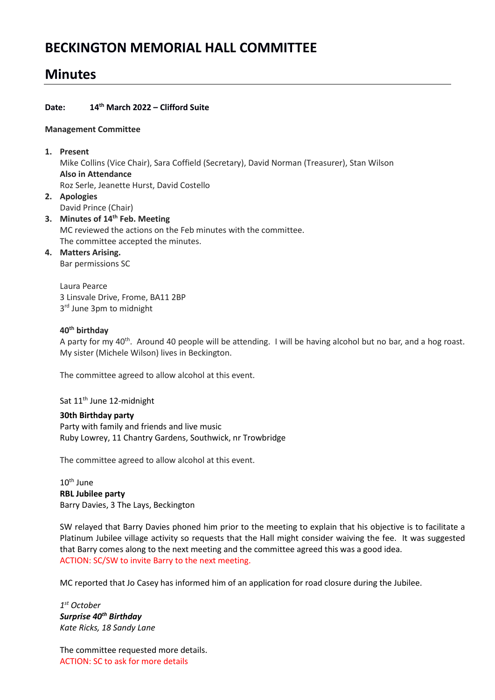# **BECKINGTON MEMORIAL HALL COMMITTEE**

# **Minutes**

# **Date: 14th March 2022 – Clifford Suite**

#### **Management Committee**

## **1. Present**

Mike Collins (Vice Chair), Sara Coffield (Secretary), David Norman (Treasurer), Stan Wilson **Also in Attendance** Roz Serle, Jeanette Hurst, David Costello

- **2. Apologies** David Prince (Chair)
- **3. Minutes of 14th Feb. Meeting** MC reviewed the actions on the Feb minutes with the committee. The committee accepted the minutes.

# **4. Matters Arising.**

Bar permissions SC

Laura Pearce 3 Linsvale Drive, Frome, BA11 2BP 3<sup>rd</sup> June 3pm to midnight

# **40th birthday**

A party for my 40<sup>th</sup>. Around 40 people will be attending. I will be having alcohol but no bar, and a hog roast. My sister (Michele Wilson) lives in Beckington.

The committee agreed to allow alcohol at this event.

Sat 11<sup>th</sup> June 12-midnight

# **30th Birthday party**

Party with family and friends and live music Ruby Lowrey, 11 Chantry Gardens, Southwick, nr Trowbridge

The committee agreed to allow alcohol at this event.

10th June **RBL Jubilee party** Barry Davies, 3 The Lays, Beckington

SW relayed that Barry Davies phoned him prior to the meeting to explain that his objective is to facilitate a Platinum Jubilee village activity so requests that the Hall might consider waiving the fee. It was suggested that Barry comes along to the next meeting and the committee agreed this was a good idea. ACTION: SC/SW to invite Barry to the next meeting.

MC reported that Jo Casey has informed him of an application for road closure during the Jubilee.

*1 st October Surprise 40th Birthday Kate Ricks, 18 Sandy Lane*

The committee requested more details. ACTION: SC to ask for more details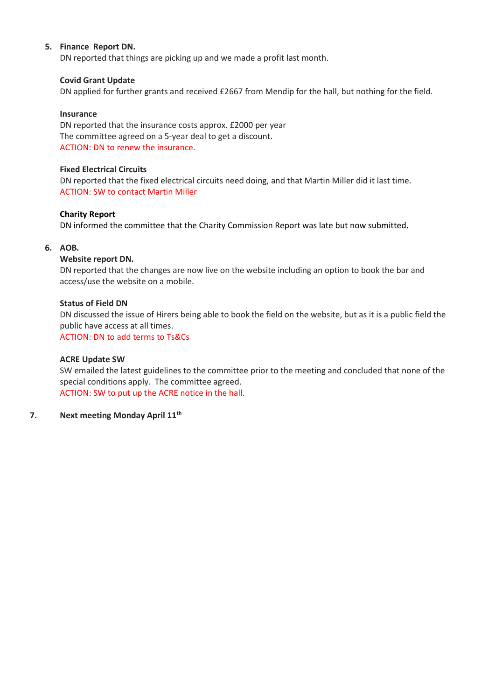## **5. Finance Report DN.**

DN reported that things are picking up and we made a profit last month.

#### **Covid Grant Update**

DN applied for further grants and received £2667 from Mendip for the hall, but nothing for the field.

#### **Insurance**

DN reported that the insurance costs approx. £2000 per year The committee agreed on a 5-year deal to get a discount. ACTION: DN to renew the insurance.

#### **Fixed Electrical Circuits**

DN reported that the fixed electrical circuits need doing, and that Martin Miller did it last time. ACTION: SW to contact Martin Miller

#### **Charity Report**

DN informed the committee that the Charity Commission Report was late but now submitted.

#### **6. AOB.**

#### **Website report DN.**

DN reported that the changes are now live on the website including an option to book the bar and access/use the website on a mobile.

#### **Status of Field DN**

DN discussed the issue of Hirers being able to book the field on the website, but as it is a public field the public have access at all times.

ACTION: DN to add terms to Ts&Cs

#### **ACRE Update SW**

SW emailed the latest guidelines to the committee prior to the meeting and concluded that none of the special conditions apply. The committee agreed. ACTION: SW to put up the ACRE notice in the hall.

#### **7. Next meeting Monday April 11th**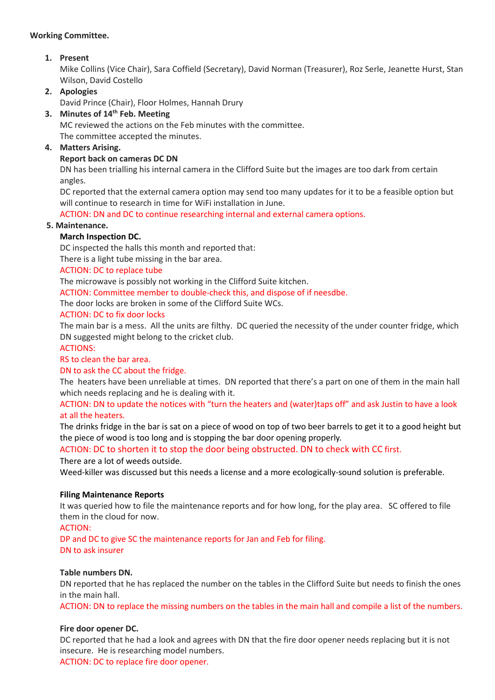## **Working Committee.**

# **1. Present**

Mike Collins (Vice Chair), Sara Coffield (Secretary), David Norman (Treasurer), Roz Serle, Jeanette Hurst, Stan Wilson, David Costello

# **2. Apologies**

David Prince (Chair), Floor Holmes, Hannah Drury

# **3. Minutes of 14th Feb. Meeting**

MC reviewed the actions on the Feb minutes with the committee. The committee accepted the minutes.

# **4. Matters Arising.**

## **Report back on cameras DC DN**

DN has been trialling his internal camera in the Clifford Suite but the images are too dark from certain angles.

DC reported that the external camera option may send too many updates for it to be a feasible option but will continue to research in time for WiFi installation in June.

ACTION: DN and DC to continue researching internal and external camera options.

## **5. Maintenance.**

# **March Inspection DC.**

DC inspected the halls this month and reported that:

There is a light tube missing in the bar area.

## ACTION: DC to replace tube

The microwave is possibly not working in the Clifford Suite kitchen.

ACTION: Committee member to double-check this, and dispose of if neesdbe.

The door locks are broken in some of the Clifford Suite WCs.

## ACTION: DC to fix door locks

The main bar is a mess. All the units are filthy. DC queried the necessity of the under counter fridge, which DN suggested might belong to the cricket club.

#### ACTIONS:

RS to clean the bar area.

#### DN to ask the CC about the fridge.

The heaters have been unreliable at times. DN reported that there's a part on one of them in the main hall which needs replacing and he is dealing with it.

ACTION: DN to update the notices with "turn the heaters and (water)taps off" and ask Justin to have a look at all the heaters.

The drinks fridge in the bar is sat on a piece of wood on top of two beer barrels to get it to a good height but the piece of wood is too long and is stopping the bar door opening properly.

ACTION: DC to shorten it to stop the door being obstructed. DN to check with CC first.

There are a lot of weeds outside.

Weed-killer was discussed but this needs a license and a more ecologically-sound solution is preferable.

#### **Filing Maintenance Reports**

It was queried how to file the maintenance reports and for how long, for the play area. SC offered to file them in the cloud for now.

#### ACTION:

DP and DC to give SC the maintenance reports for Jan and Feb for filing. DN to ask insurer

#### **Table numbers DN.**

DN reported that he has replaced the number on the tables in the Clifford Suite but needs to finish the ones in the main hall.

ACTION: DN to replace the missing numbers on the tables in the main hall and compile a list of the numbers.

#### **Fire door opener DC.**

DC reported that he had a look and agrees with DN that the fire door opener needs replacing but it is not insecure. He is researching model numbers.

ACTION: DC to replace fire door opener.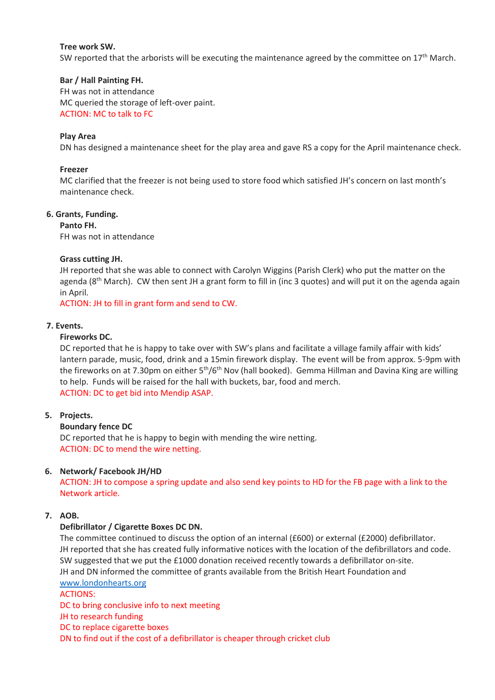#### **Tree work SW.**

SW reported that the arborists will be executing the maintenance agreed by the committee on  $17<sup>th</sup>$  March.

## **Bar / Hall Painting FH.**

FH was not in attendance MC queried the storage of left-over paint. ACTION: MC to talk to FC

#### **Play Area**

DN has designed a maintenance sheet for the play area and gave RS a copy for the April maintenance check.

## **Freezer**

MC clarified that the freezer is not being used to store food which satisfied JH's concern on last month's maintenance check.

#### **6. Grants, Funding.**

**Panto FH.**

FH was not in attendance

## **Grass cutting JH.**

JH reported that she was able to connect with Carolyn Wiggins (Parish Clerk) who put the matter on the agenda ( $8<sup>th</sup>$  March). CW then sent JH a grant form to fill in (inc 3 quotes) and will put it on the agenda again in April.

ACTION: JH to fill in grant form and send to CW.

#### **7. Events.**

## **Fireworks DC.**

DC reported that he is happy to take over with SW's plans and facilitate a village family affair with kids' lantern parade, music, food, drink and a 15min firework display. The event will be from approx. 5-9pm with the fireworks on at 7.30pm on either 5<sup>th</sup>/6<sup>th</sup> Nov (hall booked). Gemma Hillman and Davina King are willing to help. Funds will be raised for the hall with buckets, bar, food and merch. ACTION: DC to get bid into Mendip ASAP.

# **5. Projects.**

#### **Boundary fence DC**

DC reported that he is happy to begin with mending the wire netting. ACTION: DC to mend the wire netting.

# **6. Network/ Facebook JH/HD**

ACTION: JH to compose a spring update and also send key points to HD for the FB page with a link to the Network article.

# **7. AOB.**

#### **Defibrillator / Cigarette Boxes DC DN.**

The committee continued to discuss the option of an internal (£600) or external (£2000) defibrillator. JH reported that she has created fully informative notices with the location of the defibrillators and code. SW suggested that we put the £1000 donation received recently towards a defibrillator on-site. JH and DN informed the committee of grants available from the British Heart Foundation and [www.londonhearts.org](http://www.londonhearts.org/)

ACTIONS:

DC to bring conclusive info to next meeting JH to research funding DC to replace cigarette boxes DN to find out if the cost of a defibrillator is cheaper through cricket club